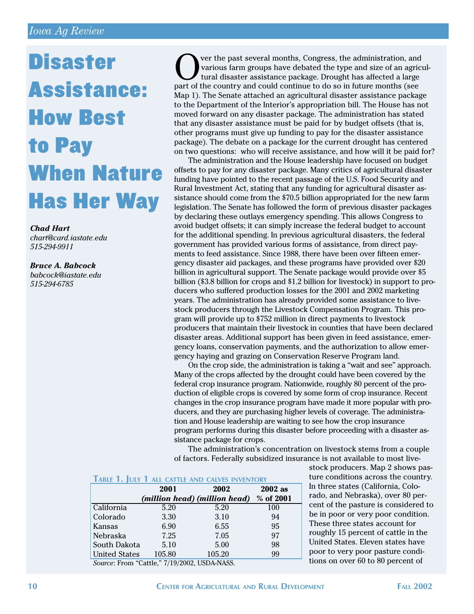## *Iowa Ag Review*

## **Disaster** Assistance: How Best to Pay When Nature Has Her Way

*Chad Hart chart@card.iastate.edu 515-294-9911*

*Bruce A. Babcock babcock@iastate.edu 515-294-6785*

ver the past several months, Congress, the administration, and various farm groups have debated the type and size of an agricultural disaster assistance package. Drought has affected a large part of the country and could continue to do so in future months (see Map 1). The Senate attached an agricultural disaster assistance package to the Department of the Interior's appropriation bill. The House has not moved forward on any disaster package. The administration has stated that any disaster assistance must be paid for by budget offsets (that is, other programs must give up funding to pay for the disaster assistance package). The debate on a package for the current drought has centered on two questions: who will receive assistance, and how will it be paid for?

The administration and the House leadership have focused on budget offsets to pay for any disaster package. Many critics of agricultural disaster funding have pointed to the recent passage of the U.S. Food Security and Rural Investment Act, stating that any funding for agricultural disaster assistance should come from the \$70.5 billion appropriated for the new farm legislation. The Senate has followed the form of previous disaster packages by declaring these outlays emergency spending. This allows Congress to avoid budget offsets; it can simply increase the federal budget to account for the additional spending. In previous agricultural disasters, the federal government has provided various forms of assistance, from direct payments to feed assistance. Since 1988, there have been over fifteen emergency disaster aid packages, and these programs have provided over \$20 billion in agricultural support. The Senate package would provide over \$5 billion (\$3.8 billion for crops and \$1.2 billion for livestock) in support to producers who suffered production losses for the 2001 and 2002 marketing years. The administration has already provided some assistance to livestock producers through the Livestock Compensation Program. This program will provide up to \$752 million in direct payments to livestock producers that maintain their livestock in counties that have been declared disaster areas. Additional support has been given in feed assistance, emergency loans, conservation payments, and the authorization to allow emergency haying and grazing on Conservation Reserve Program land.

On the crop side, the administration is taking a "wait and see" approach. Many of the crops affected by the drought could have been covered by the federal crop insurance program. Nationwide, roughly 80 percent of the production of eligible crops is covered by some form of crop insurance. Recent changes in the crop insurance program have made it more popular with producers, and they are purchasing higher levels of coverage. The administration and House leadership are waiting to see how the crop insurance program performs during this disaster before proceeding with a disaster assistance package for crops.

The administration's concentration on livestock stems from a couple of factors. Federally subsidized insurance is not available to most live-

## **TABLE 1. JULY 1 ALL CATTLE AND CALVES INVENTORY**

|                                              | 2001   | 2002                          | $2002$ as |
|----------------------------------------------|--------|-------------------------------|-----------|
|                                              |        | (million head) (million head) | % of 2001 |
| California                                   | 5.20   | 5.20                          | 100       |
| Colorado                                     | 3.30   | 3.10                          | 94        |
| Kansas                                       | 6.90   | 6.55                          | 95        |
| Nebraska                                     | 7.25   | 7.05                          | 97        |
| South Dakota                                 | 5.10   | 5.00                          | 98        |
| <b>United States</b>                         | 105.80 | 105.20                        | 99        |
| Source: From "Cattle," 7/19/2002, USDA-NASS. |        |                               |           |

stock producers. Map 2 shows pasture conditions across the country. In three states (California, Colorado, and Nebraska), over 80 percent of the pasture is considered to be in poor or very poor condition. These three states account for roughly 15 percent of cattle in the United States. Eleven states have poor to very poor pasture conditions on over 60 to 80 percent of